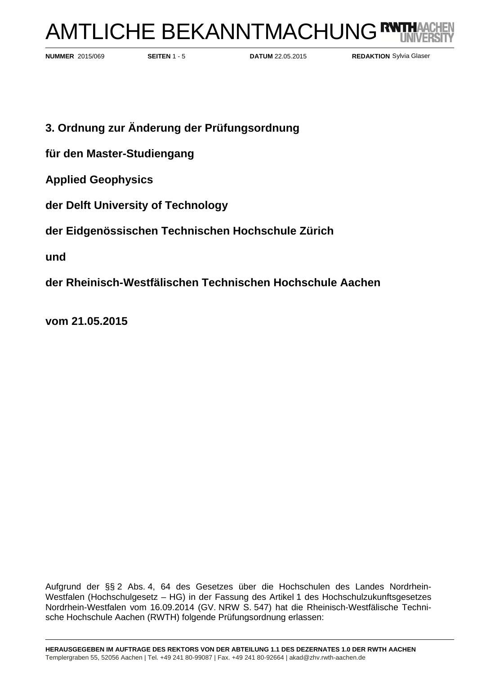# AMTLICHE BEKANNTMACHUNG<sup>R</sup>

**NUMMER 2015/069** 

**SEITEN** 1 - 5 **DATUM** 22.05.2015

**REDAKTION** Sylvia Glaser

- **3. Ordnung zur Änderung der Prüfungsordnung**
- **für den Master-Studiengang**
- **Applied Geophysics**
- **der Delft University of Technology**
- **der Eidgenössischen Technischen Hochschule Zürich**

**und** 

**der Rheinisch-Westfälischen Technischen Hochschule Aachen** 

**vom 21.05.2015** 

Aufgrund der §§ 2 Abs. 4, 64 des Gesetzes über die Hochschulen des Landes Nordrhein-Westfalen (Hochschulgesetz – HG) in der Fassung des Artikel 1 des Hochschulzukunftsgesetzes Nordrhein-Westfalen vom 16.09.2014 (GV. NRW S. 547) hat die Rheinisch-Westfälische Technische Hochschule Aachen (RWTH) folgende Prüfungsordnung erlassen: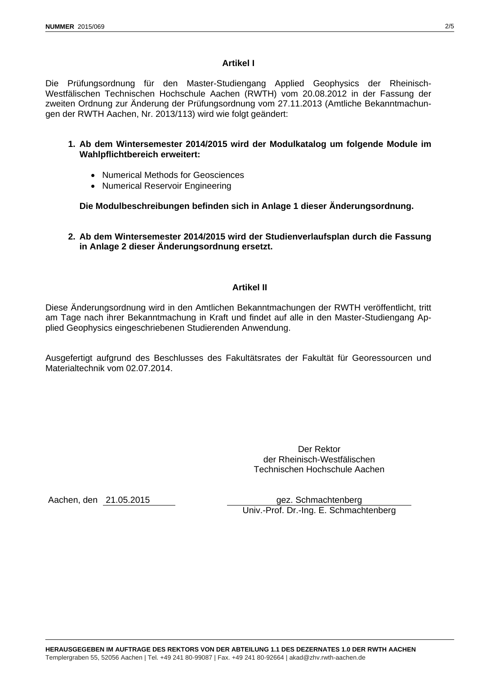## **Artikel I**

Die Prüfungsordnung für den Master-Studiengang Applied Geophysics der Rheinisch-Westfälischen Technischen Hochschule Aachen (RWTH) vom 20.08.2012 in der Fassung der zweiten Ordnung zur Änderung der Prüfungsordnung vom 27.11.2013 (Amtliche Bekanntmachungen der RWTH Aachen, Nr. 2013/113) wird wie folgt geändert:

#### **1. Ab dem Wintersemester 2014/2015 wird der Modulkatalog um folgende Module im Wahlpflichtbereich erweitert:**

- Numerical Methods for Geosciences
- Numerical Reservoir Engineering

**Die Modulbeschreibungen befinden sich in Anlage 1 dieser Änderungsordnung.** 

## **2. Ab dem Wintersemester 2014/2015 wird der Studienverlaufsplan durch die Fassung in Anlage 2 dieser Änderungsordnung ersetzt.**

## **Artikel II**

Diese Änderungsordnung wird in den Amtlichen Bekanntmachungen der RWTH veröffentlicht, tritt am Tage nach ihrer Bekanntmachung in Kraft und findet auf alle in den Master-Studiengang Applied Geophysics eingeschriebenen Studierenden Anwendung.

Ausgefertigt aufgrund des Beschlusses des Fakultätsrates der Fakultät für Georessourcen und Materialtechnik vom 02.07.2014.

> Der Rektor der Rheinisch-Westfälischen Technischen Hochschule Aachen

Aachen, den 21.05.2015 gez. Schmachtenberg Univ.-Prof. Dr.-Ing. E. Schmachtenberg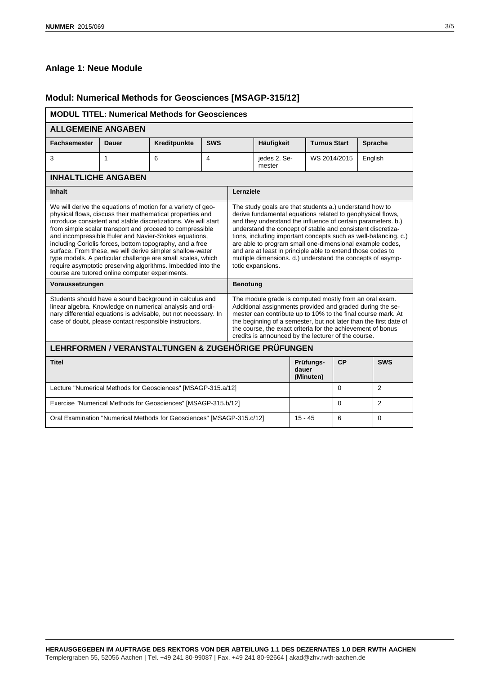# **Anlage 1: Neue Module**

# **Modul: Numerical Methods for Geosciences [MSAGP-315/12]**

| <b>MODUL TITEL: Numerical Methods for Geosciences</b>                                                                                                                                                                                                                                                                                                                                                                                                                                                                                                                                                                      |              |              |                |                                                                                                                                                                                                                                                                                                                                                                                                                                                                                                                                       |                                 |                     |            |                |  |
|----------------------------------------------------------------------------------------------------------------------------------------------------------------------------------------------------------------------------------------------------------------------------------------------------------------------------------------------------------------------------------------------------------------------------------------------------------------------------------------------------------------------------------------------------------------------------------------------------------------------------|--------------|--------------|----------------|---------------------------------------------------------------------------------------------------------------------------------------------------------------------------------------------------------------------------------------------------------------------------------------------------------------------------------------------------------------------------------------------------------------------------------------------------------------------------------------------------------------------------------------|---------------------------------|---------------------|------------|----------------|--|
| <b>ALLGEMEINE ANGABEN</b>                                                                                                                                                                                                                                                                                                                                                                                                                                                                                                                                                                                                  |              |              |                |                                                                                                                                                                                                                                                                                                                                                                                                                                                                                                                                       |                                 |                     |            |                |  |
| <b>Fachsemester</b>                                                                                                                                                                                                                                                                                                                                                                                                                                                                                                                                                                                                        | <b>Dauer</b> | Kreditpunkte | <b>SWS</b>     |                                                                                                                                                                                                                                                                                                                                                                                                                                                                                                                                       | Häufigkeit                      | <b>Turnus Start</b> |            | <b>Sprache</b> |  |
| 3                                                                                                                                                                                                                                                                                                                                                                                                                                                                                                                                                                                                                          | 1            | 6            | $\overline{4}$ |                                                                                                                                                                                                                                                                                                                                                                                                                                                                                                                                       | jedes 2. Se-<br>mester          | WS 2014/2015        |            | English        |  |
| <b>INHALTLICHE ANGABEN</b>                                                                                                                                                                                                                                                                                                                                                                                                                                                                                                                                                                                                 |              |              |                |                                                                                                                                                                                                                                                                                                                                                                                                                                                                                                                                       |                                 |                     |            |                |  |
| <b>Inhalt</b>                                                                                                                                                                                                                                                                                                                                                                                                                                                                                                                                                                                                              |              |              |                | Lernziele                                                                                                                                                                                                                                                                                                                                                                                                                                                                                                                             |                                 |                     |            |                |  |
| We will derive the equations of motion for a variety of geo-<br>physical flows, discuss their mathematical properties and<br>introduce consistent and stable discretizations. We will start<br>from simple scalar transport and proceed to compressible<br>and incompressible Euler and Navier-Stokes equations,<br>including Coriolis forces, bottom topography, and a free<br>surface. From these, we will derive simpler shallow-water<br>type models. A particular challenge are small scales, which<br>require asymptotic preserving algorithms. Imbedded into the<br>course are tutored online computer experiments. |              |              |                | The study goals are that students a.) understand how to<br>derive fundamental equations related to geophysical flows,<br>and they understand the influence of certain parameters. b.)<br>understand the concept of stable and consistent discretiza-<br>tions, including important concepts such as well-balancing. c.)<br>are able to program small one-dimensional example codes,<br>and are at least in principle able to extend those codes to<br>multiple dimensions. d.) understand the concepts of asymp-<br>totic expansions. |                                 |                     |            |                |  |
| Voraussetzungen                                                                                                                                                                                                                                                                                                                                                                                                                                                                                                                                                                                                            |              |              |                | <b>Benotung</b>                                                                                                                                                                                                                                                                                                                                                                                                                                                                                                                       |                                 |                     |            |                |  |
| Students should have a sound background in calculus and<br>linear algebra. Knowledge on numerical analysis and ordi-<br>nary differential equations is advisable, but not necessary. In<br>case of doubt, please contact responsible instructors.                                                                                                                                                                                                                                                                                                                                                                          |              |              |                | The module grade is computed mostly from an oral exam.<br>Additional assignments provided and graded during the se-<br>mester can contribute up to 10% to the final course mark. At<br>the beginning of a semester, but not later than the first date of<br>the course, the exact criteria for the achievement of bonus<br>credits is announced by the lecturer of the course.                                                                                                                                                        |                                 |                     |            |                |  |
| LEHRFORMEN / VERANSTALTUNGEN & ZUGEHÖRIGE PRÜFUNGEN                                                                                                                                                                                                                                                                                                                                                                                                                                                                                                                                                                        |              |              |                |                                                                                                                                                                                                                                                                                                                                                                                                                                                                                                                                       |                                 |                     |            |                |  |
| <b>Titel</b>                                                                                                                                                                                                                                                                                                                                                                                                                                                                                                                                                                                                               |              |              |                |                                                                                                                                                                                                                                                                                                                                                                                                                                                                                                                                       | Prüfungs-<br>dauer<br>(Minuten) | CP                  | <b>SWS</b> |                |  |

|                                                                       | (Minuten) |  |
|-----------------------------------------------------------------------|-----------|--|
| Lecture "Numerical Methods for Geosciences" [MSAGP-315.a/12]          |           |  |
| Exercise "Numerical Methods for Geosciences" [MSAGP-315.b/12]         |           |  |
| Oral Examination "Numerical Methods for Geosciences" [MSAGP-315.c/12] | $15 - 45$ |  |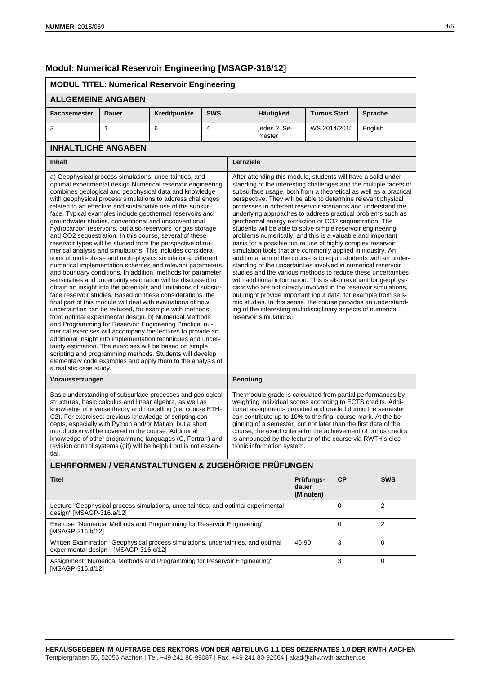[MSAGP-316.b/12]

[MSAGP-316.d/12]

experimental design " [MSAGP-316.c/12]

# **Modul: Numerical Reservoir Engineering [MSAGP-316/12]**

#### **MODUL TITEL: Numerical Reservoir Engineering ALLGEMEINE ANGABEN Fachsemester Dauer Kreditpunkte SWS Häufigkeit Turnus Start Sprache** 3 1 6 4 jedes 2. Semester WS 2014/2015 | English **INHALTLICHE ANGABEN Inhalt Lernziele** a) Geophysical process simulations, uncertainties, and optimal experimental design Numerical reservoir engineering combines geological and geophysical data and knowledge with geophysical process simulations to address challenges related to an effective and sustainable use of the subsurface. Typical examples include geothermal reservoirs and groundwater studies, conventional and unconventional hydrocarbon reservoirs, but also reservoirs for gas storage and CO2 sequestration. In this course, several of these reservoir types will be studied from the perspective of numerical analysis and simulations. This includes considerations of multi-phase and multi-physics simulations, different numerical implementation schemes and relevant parameters and boundary conditions. In addition, methods for parameter sensitivities and uncertainty estimation will be discussed to obtain an insight into the potentials and limitations of subsurface reservoir studies. Based on these considerations, the final part of this module will deal with evaluations of how uncertainties can be reduced, for example with methods from optimal experimental design. b) Numerical Methods and Programming for Reservoir Engineering Practical numerical exercises will accompany the lectures to provide an additional insight into implementation techniques and uncertainty estimation. The exercises will be based on simple scripting and programming methods. Students will develop elementary code examples and apply them to the analysis of a realistic case study. After attending this module, students will have a solid understanding of the interesting challenges and the multiple facets of subsurface usage, both from a theoretical as well as a practical perspective. They will be able to determine relevant physical processes in different reservoir scenarios and understand the underlying approaches to address practical problems such as geothermal energy extraction or CO2 sequestration. The students will be able to solve simple reservoir engineering problems numerically, and this is a valuable and important basis for a possible future use of highly complex reservoir simulation tools that are commonly applied in industry. An additional aim of the course is to equip students with an understanding of the uncertainties involved in numerical reservoir studies and the various methods to reduce these uncertainties with additional information. This is also revenant for geophysicists who are not directly involved in the reservoir simulations, but might provide important input data, for example from seismic studies. In this sense, the course provides an understanding of the interesting multidisciplinary aspects of numerical reservoir simulations. **Voraussetzungen Benotung** Basic understanding of subsurface processes and geological structures, basic calculus and linear algebra, as well as knowledge of inverse theory and modelling (i.e. course ETH-C2). For exercises: previous knowledge of scripting concepts, especially with Python and/or Matlab, but a short introduction will be covered in the course. Additional knowledge of other programming languages (C, Fortran) and revision control systems (git) will be helpful but is not essential. The module grade is calculated from partial performances by weighting individual scores according to ECTS credits. Additional assignments provided and graded during the semester can contribute up to 10% to the final course mark. At the beginning of a semester, but not later than the first date of the course, the exact criteria for the achievement of bonus credits is announced by the lecturer of the course via RWTH's electronic information system. **LEHRFORMEN / VERANSTALTUNGEN & ZUGEHÖRIGE PRÜFUNGEN Titel Prüfungsdauer (Minuten) CP SWS** Lecture "Geophysical process simulations, uncertainties, and optimal experimental design" [MSAGP-316.a/12] 0 2 Exercise "Numerical Methods and Programming for Reservoir Engineering" 0 2

 $45-90$   $3$  0

3 0

Written Examination "Geophysical process simulations, uncertainties, and optimal

Assignment "Numerical Methods and Programming for Reservoir Engineering"